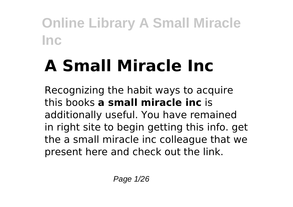# **A Small Miracle Inc**

Recognizing the habit ways to acquire this books **a small miracle inc** is additionally useful. You have remained in right site to begin getting this info. get the a small miracle inc colleague that we present here and check out the link.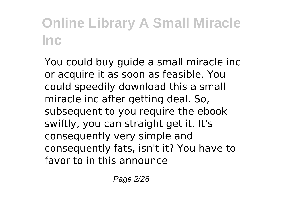You could buy guide a small miracle inc or acquire it as soon as feasible. You could speedily download this a small miracle inc after getting deal. So, subsequent to you require the ebook swiftly, you can straight get it. It's consequently very simple and consequently fats, isn't it? You have to favor to in this announce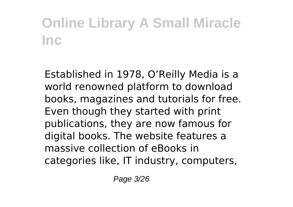Established in 1978, O'Reilly Media is a world renowned platform to download books, magazines and tutorials for free. Even though they started with print publications, they are now famous for digital books. The website features a massive collection of eBooks in categories like, IT industry, computers,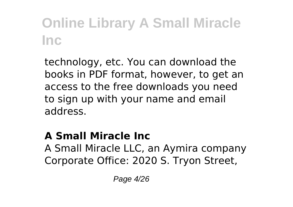technology, etc. You can download the books in PDF format, however, to get an access to the free downloads you need to sign up with your name and email address.

### **A Small Miracle Inc**

A Small Miracle LLC, an Aymira company Corporate Office: 2020 S. Tryon Street,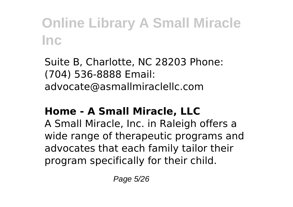Suite B, Charlotte, NC 28203 Phone: (704) 536-8888 Email: advocate@asmallmiraclellc.com

### **Home - A Small Miracle, LLC**

A Small Miracle, Inc. in Raleigh offers a wide range of therapeutic programs and advocates that each family tailor their program specifically for their child.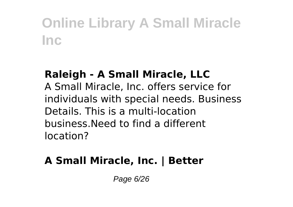#### **Raleigh - A Small Miracle, LLC**

A Small Miracle, Inc. offers service for individuals with special needs. Business Details. This is a multi-location business.Need to find a different location?

### **A Small Miracle, Inc. | Better**

Page 6/26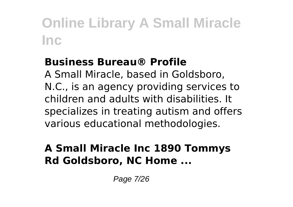#### **Business Bureau® Profile**

A Small Miracle, based in Goldsboro, N.C., is an agency providing services to children and adults with disabilities. It specializes in treating autism and offers various educational methodologies.

### **A Small Miracle Inc 1890 Tommys Rd Goldsboro, NC Home ...**

Page 7/26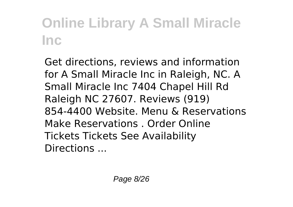Get directions, reviews and information for A Small Miracle Inc in Raleigh, NC. A Small Miracle Inc 7404 Chapel Hill Rd Raleigh NC 27607. Reviews (919) 854-4400 Website. Menu & Reservations Make Reservations . Order Online Tickets Tickets See Availability Directions ...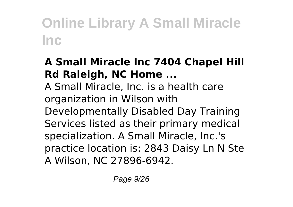### **A Small Miracle Inc 7404 Chapel Hill Rd Raleigh, NC Home ...**

A Small Miracle, Inc. is a health care organization in Wilson with Developmentally Disabled Day Training Services listed as their primary medical specialization. A Small Miracle, Inc.'s practice location is: 2843 Daisy Ln N Ste A Wilson, NC 27896-6942.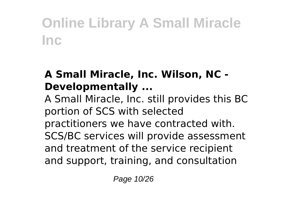### **A Small Miracle, Inc. Wilson, NC - Developmentally ...**

A Small Miracle, Inc. still provides this BC portion of SCS with selected practitioners we have contracted with. SCS/BC services will provide assessment and treatment of the service recipient and support, training, and consultation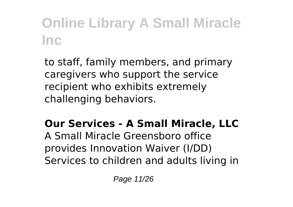to staff, family members, and primary caregivers who support the service recipient who exhibits extremely challenging behaviors.

### **Our Services - A Small Miracle, LLC**

A Small Miracle Greensboro office provides Innovation Waiver (I/DD) Services to children and adults living in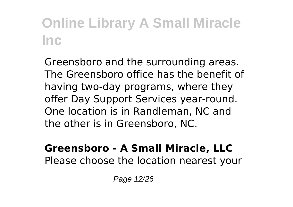Greensboro and the surrounding areas. The Greensboro office has the benefit of having two-day programs, where they offer Day Support Services year-round. One location is in Randleman, NC and the other is in Greensboro, NC.

#### **Greensboro - A Small Miracle, LLC** Please choose the location nearest your

Page 12/26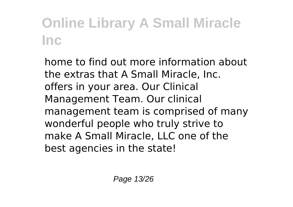home to find out more information about the extras that A Small Miracle, Inc. offers in your area. Our Clinical Management Team. Our clinical management team is comprised of many wonderful people who truly strive to make A Small Miracle, LLC one of the best agencies in the state!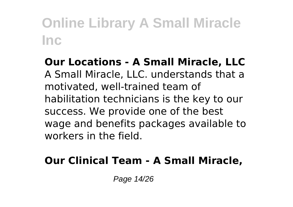**Our Locations - A Small Miracle, LLC** A Small Miracle, LLC. understands that a motivated, well-trained team of habilitation technicians is the key to our success. We provide one of the best wage and benefits packages available to workers in the field.

### **Our Clinical Team - A Small Miracle,**

Page 14/26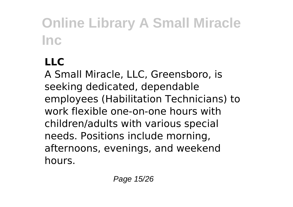### **LLC**

A Small Miracle, LLC, Greensboro, is seeking dedicated, dependable employees (Habilitation Technicians) to work flexible one-on-one hours with children/adults with various special needs. Positions include morning, afternoons, evenings, and weekend hours.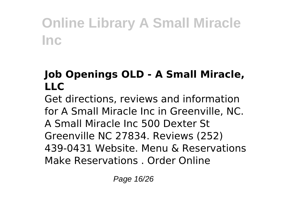### **Job Openings OLD - A Small Miracle, LLC**

Get directions, reviews and information for A Small Miracle Inc in Greenville, NC. A Small Miracle Inc 500 Dexter St Greenville NC 27834. Reviews (252) 439-0431 Website. Menu & Reservations Make Reservations . Order Online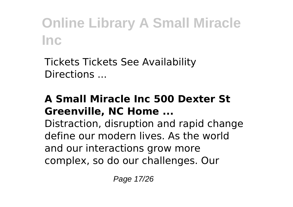Tickets Tickets See Availability Directions ...

#### **A Small Miracle Inc 500 Dexter St Greenville, NC Home ...**

Distraction, disruption and rapid change define our modern lives. As the world and our interactions grow more complex, so do our challenges. Our

Page 17/26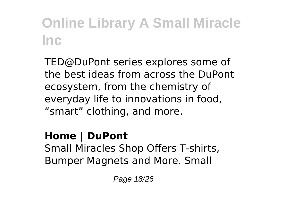TED@DuPont series explores some of the best ideas from across the DuPont ecosystem, from the chemistry of everyday life to innovations in food, "smart" clothing, and more.

**Home | DuPont** Small Miracles Shop Offers T-shirts, Bumper Magnets and More. Small

Page 18/26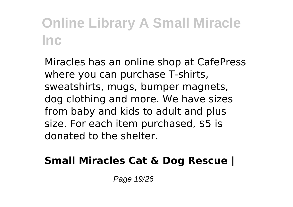Miracles has an online shop at CafePress where you can purchase T-shirts, sweatshirts, mugs, bumper magnets, dog clothing and more. We have sizes from baby and kids to adult and plus size. For each item purchased, \$5 is donated to the shelter.

### **Small Miracles Cat & Dog Rescue |**

Page 19/26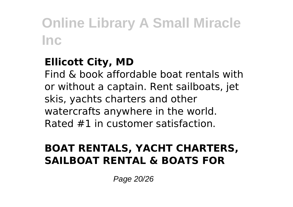### **Ellicott City, MD**

Find & book affordable boat rentals with or without a captain. Rent sailboats, jet skis, yachts charters and other watercrafts anywhere in the world. Rated #1 in customer satisfaction.

### **BOAT RENTALS, YACHT CHARTERS, SAILBOAT RENTAL & BOATS FOR**

Page 20/26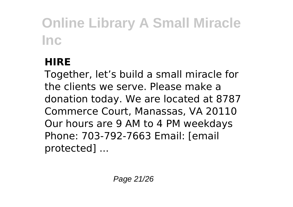### **HIRE**

Together, let's build a small miracle for the clients we serve. Please make a donation today. We are located at 8787 Commerce Court, Manassas, VA 20110 Our hours are 9 AM to 4 PM weekdays Phone: 703-792-7663 Email: [email protected] ...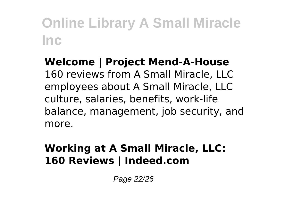**Welcome | Project Mend-A-House** 160 reviews from A Small Miracle, LLC employees about A Small Miracle, LLC culture, salaries, benefits, work-life balance, management, job security, and more.

### **Working at A Small Miracle, LLC: 160 Reviews | Indeed.com**

Page 22/26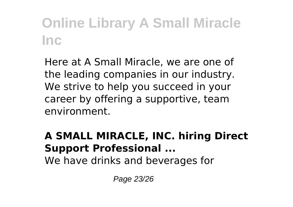Here at A Small Miracle, we are one of the leading companies in our industry. We strive to help you succeed in your career by offering a supportive, team environment.

#### **A SMALL MIRACLE, INC. hiring Direct Support Professional ...** We have drinks and beverages for

Page 23/26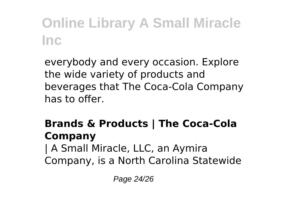everybody and every occasion. Explore the wide variety of products and beverages that The Coca-Cola Company has to offer.

### **Brands & Products | The Coca-Cola Company**

| A Small Miracle, LLC, an Aymira Company, is a North Carolina Statewide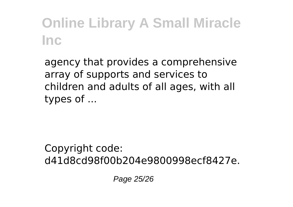agency that provides a comprehensive array of supports and services to children and adults of all ages, with all types of ...

Copyright code: d41d8cd98f00b204e9800998ecf8427e.

Page 25/26